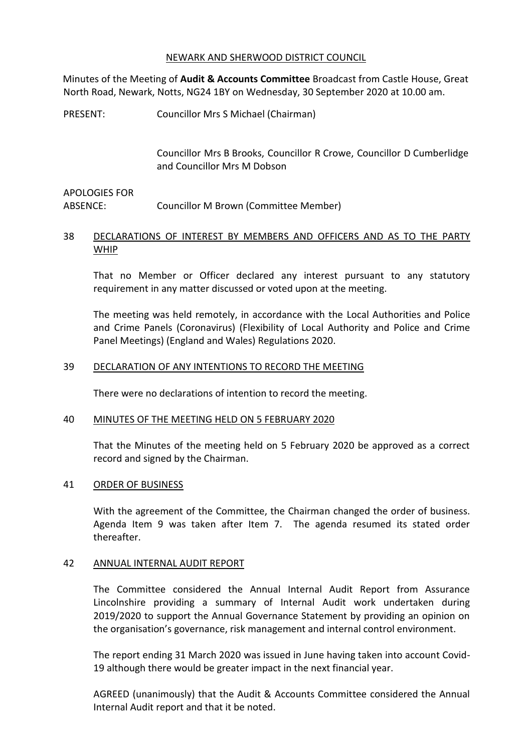### NEWARK AND SHERWOOD DISTRICT COUNCIL

Minutes of the Meeting of **Audit & Accounts Committee** Broadcast from Castle House, Great North Road, Newark, Notts, NG24 1BY on Wednesday, 30 September 2020 at 10.00 am.

PRESENT: Councillor Mrs S Michael (Chairman)

Councillor Mrs B Brooks, Councillor R Crowe, Councillor D Cumberlidge and Councillor Mrs M Dobson

# APOLOGIES FOR ABSENCE: Councillor M Brown (Committee Member)

# 38 DECLARATIONS OF INTEREST BY MEMBERS AND OFFICERS AND AS TO THE PARTY WHIP

That no Member or Officer declared any interest pursuant to any statutory requirement in any matter discussed or voted upon at the meeting.

The meeting was held remotely, in accordance with the Local Authorities and Police and Crime Panels (Coronavirus) (Flexibility of Local Authority and Police and Crime Panel Meetings) (England and Wales) Regulations 2020.

# 39 DECLARATION OF ANY INTENTIONS TO RECORD THE MEETING

There were no declarations of intention to record the meeting.

#### 40 MINUTES OF THE MEETING HELD ON 5 FEBRUARY 2020

That the Minutes of the meeting held on 5 February 2020 be approved as a correct record and signed by the Chairman.

#### 41 ORDER OF BUSINESS

With the agreement of the Committee, the Chairman changed the order of business. Agenda Item 9 was taken after Item 7. The agenda resumed its stated order thereafter.

#### 42 ANNUAL INTERNAL AUDIT REPORT

The Committee considered the Annual Internal Audit Report from Assurance Lincolnshire providing a summary of Internal Audit work undertaken during 2019/2020 to support the Annual Governance Statement by providing an opinion on the organisation's governance, risk management and internal control environment.

The report ending 31 March 2020 was issued in June having taken into account Covid-19 although there would be greater impact in the next financial year.

AGREED (unanimously) that the Audit & Accounts Committee considered the Annual Internal Audit report and that it be noted.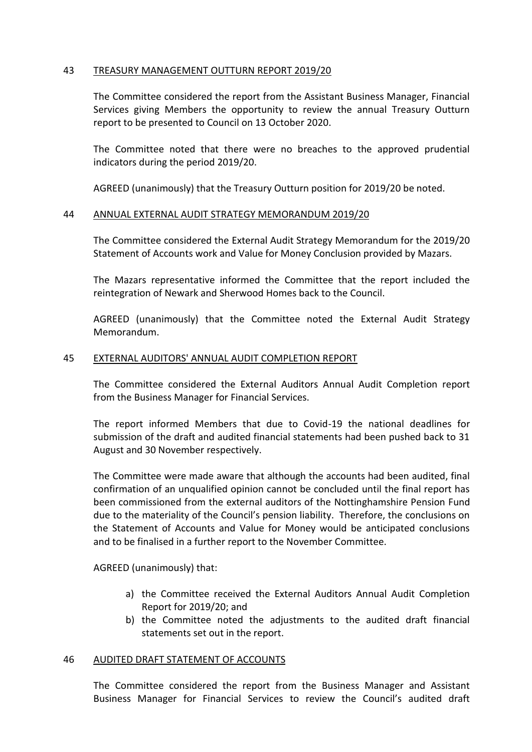# 43 TREASURY MANAGEMENT OUTTURN REPORT 2019/20

The Committee considered the report from the Assistant Business Manager, Financial Services giving Members the opportunity to review the annual Treasury Outturn report to be presented to Council on 13 October 2020.

The Committee noted that there were no breaches to the approved prudential indicators during the period 2019/20.

AGREED (unanimously) that the Treasury Outturn position for 2019/20 be noted.

# 44 ANNUAL EXTERNAL AUDIT STRATEGY MEMORANDUM 2019/20

The Committee considered the External Audit Strategy Memorandum for the 2019/20 Statement of Accounts work and Value for Money Conclusion provided by Mazars.

The Mazars representative informed the Committee that the report included the reintegration of Newark and Sherwood Homes back to the Council.

AGREED (unanimously) that the Committee noted the External Audit Strategy Memorandum.

# 45 EXTERNAL AUDITORS' ANNUAL AUDIT COMPLETION REPORT

The Committee considered the External Auditors Annual Audit Completion report from the Business Manager for Financial Services.

The report informed Members that due to Covid-19 the national deadlines for submission of the draft and audited financial statements had been pushed back to 31 August and 30 November respectively.

The Committee were made aware that although the accounts had been audited, final confirmation of an unqualified opinion cannot be concluded until the final report has been commissioned from the external auditors of the Nottinghamshire Pension Fund due to the materiality of the Council's pension liability. Therefore, the conclusions on the Statement of Accounts and Value for Money would be anticipated conclusions and to be finalised in a further report to the November Committee.

AGREED (unanimously) that:

- a) the Committee received the External Auditors Annual Audit Completion Report for 2019/20; and
- b) the Committee noted the adjustments to the audited draft financial statements set out in the report.

#### 46 AUDITED DRAFT STATEMENT OF ACCOUNTS

The Committee considered the report from the Business Manager and Assistant Business Manager for Financial Services to review the Council's audited draft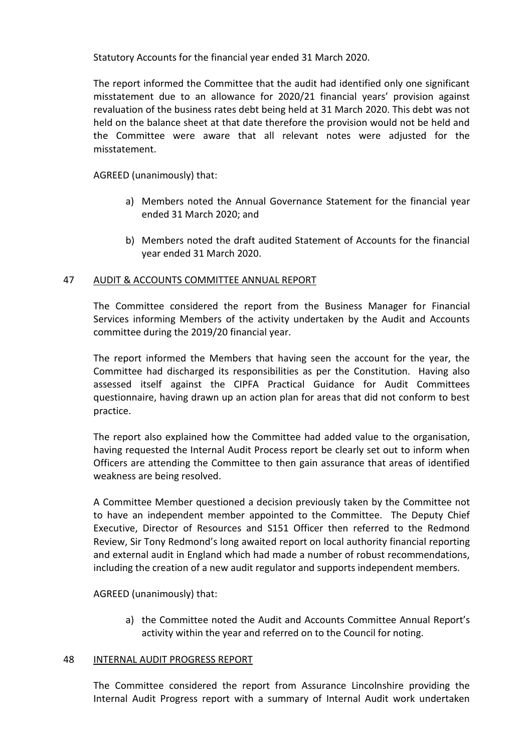Statutory Accounts for the financial year ended 31 March 2020.

The report informed the Committee that the audit had identified only one significant misstatement due to an allowance for 2020/21 financial years' provision against revaluation of the business rates debt being held at 31 March 2020. This debt was not held on the balance sheet at that date therefore the provision would not be held and the Committee were aware that all relevant notes were adjusted for the misstatement.

AGREED (unanimously) that:

- a) Members noted the Annual Governance Statement for the financial year ended 31 March 2020; and
- b) Members noted the draft audited Statement of Accounts for the financial year ended 31 March 2020.

# 47 AUDIT & ACCOUNTS COMMITTEE ANNUAL REPORT

The Committee considered the report from the Business Manager for Financial Services informing Members of the activity undertaken by the Audit and Accounts committee during the 2019/20 financial year.

The report informed the Members that having seen the account for the year, the Committee had discharged its responsibilities as per the Constitution. Having also assessed itself against the CIPFA Practical Guidance for Audit Committees questionnaire, having drawn up an action plan for areas that did not conform to best practice.

The report also explained how the Committee had added value to the organisation, having requested the Internal Audit Process report be clearly set out to inform when Officers are attending the Committee to then gain assurance that areas of identified weakness are being resolved.

A Committee Member questioned a decision previously taken by the Committee not to have an independent member appointed to the Committee. The Deputy Chief Executive, Director of Resources and S151 Officer then referred to the Redmond Review, Sir Tony Redmond's long awaited report on local authority financial reporting and external audit in England which had made a number of robust recommendations, including the creation of a new audit regulator and supports independent members.

AGREED (unanimously) that:

a) the Committee noted the Audit and Accounts Committee Annual Report's activity within the year and referred on to the Council for noting.

# 48 INTERNAL AUDIT PROGRESS REPORT

The Committee considered the report from Assurance Lincolnshire providing the Internal Audit Progress report with a summary of Internal Audit work undertaken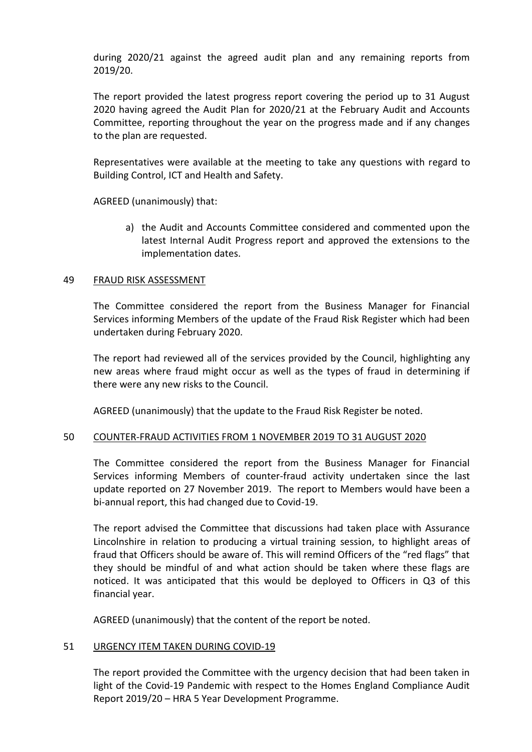during 2020/21 against the agreed audit plan and any remaining reports from 2019/20.

The report provided the latest progress report covering the period up to 31 August 2020 having agreed the Audit Plan for 2020/21 at the February Audit and Accounts Committee, reporting throughout the year on the progress made and if any changes to the plan are requested.

Representatives were available at the meeting to take any questions with regard to Building Control, ICT and Health and Safety.

AGREED (unanimously) that:

a) the Audit and Accounts Committee considered and commented upon the latest Internal Audit Progress report and approved the extensions to the implementation dates.

### 49 FRAUD RISK ASSESSMENT

The Committee considered the report from the Business Manager for Financial Services informing Members of the update of the Fraud Risk Register which had been undertaken during February 2020.

The report had reviewed all of the services provided by the Council, highlighting any new areas where fraud might occur as well as the types of fraud in determining if there were any new risks to the Council.

AGREED (unanimously) that the update to the Fraud Risk Register be noted.

#### 50 COUNTER-FRAUD ACTIVITIES FROM 1 NOVEMBER 2019 TO 31 AUGUST 2020

The Committee considered the report from the Business Manager for Financial Services informing Members of counter-fraud activity undertaken since the last update reported on 27 November 2019. The report to Members would have been a bi-annual report, this had changed due to Covid-19.

The report advised the Committee that discussions had taken place with Assurance Lincolnshire in relation to producing a virtual training session, to highlight areas of fraud that Officers should be aware of. This will remind Officers of the "red flags" that they should be mindful of and what action should be taken where these flags are noticed. It was anticipated that this would be deployed to Officers in Q3 of this financial year.

AGREED (unanimously) that the content of the report be noted.

#### 51 URGENCY ITEM TAKEN DURING COVID-19

The report provided the Committee with the urgency decision that had been taken in light of the Covid-19 Pandemic with respect to the Homes England Compliance Audit Report 2019/20 – HRA 5 Year Development Programme.